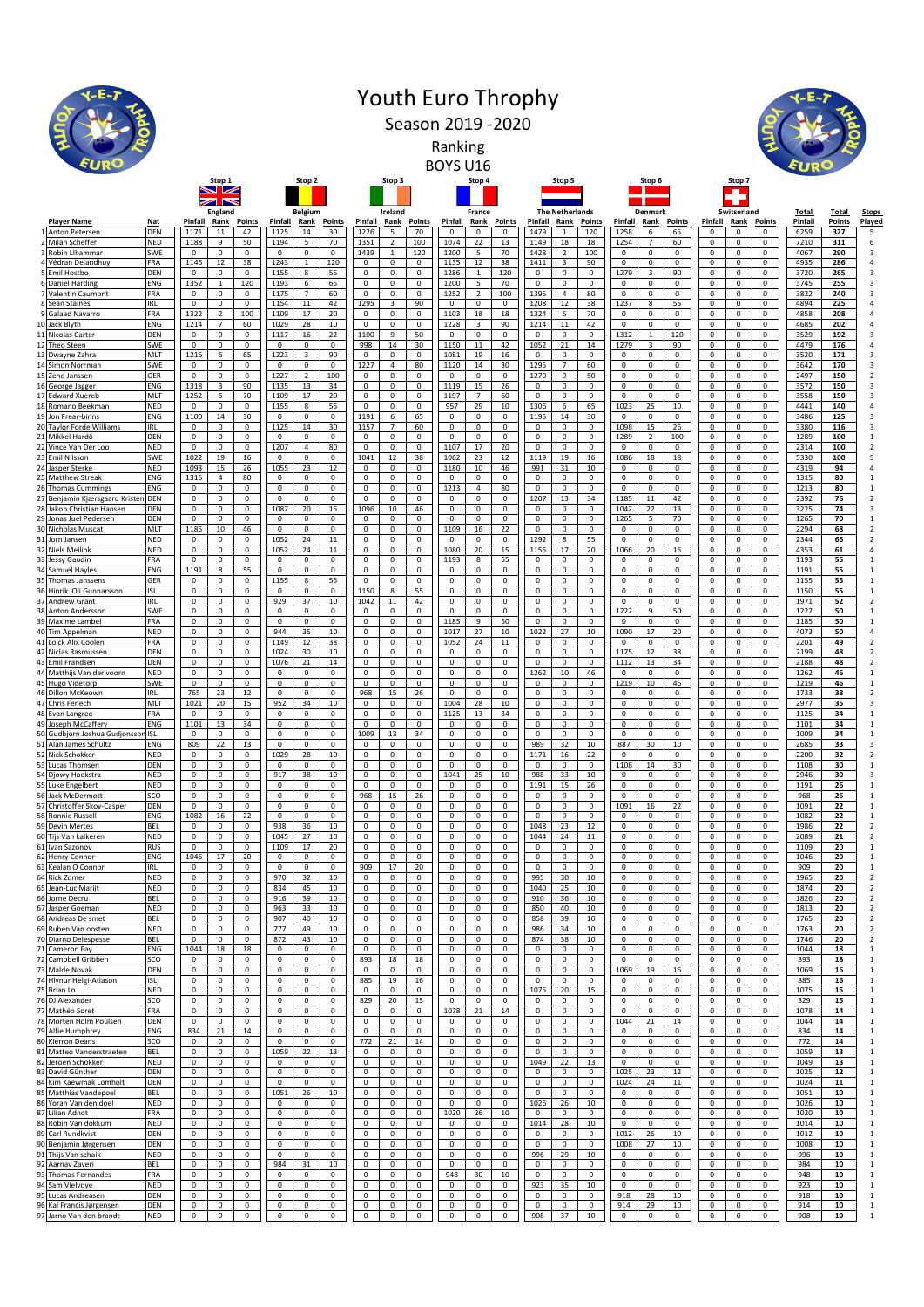|          |                                                          |                          |                                                                  |                                                                           |                                                                              | <b>Youth Euro Throphy</b>                                                        |                                                          |                                                               |                                                                         |                                                                                |
|----------|----------------------------------------------------------|--------------------------|------------------------------------------------------------------|---------------------------------------------------------------------------|------------------------------------------------------------------------------|----------------------------------------------------------------------------------|----------------------------------------------------------|---------------------------------------------------------------|-------------------------------------------------------------------------|--------------------------------------------------------------------------------|
|          |                                                          |                          |                                                                  |                                                                           |                                                                              | Season 2019 - 2020                                                               |                                                          |                                                               |                                                                         |                                                                                |
|          |                                                          |                          |                                                                  |                                                                           |                                                                              | Ranking                                                                          |                                                          |                                                               |                                                                         |                                                                                |
|          |                                                          |                          |                                                                  |                                                                           |                                                                              |                                                                                  |                                                          |                                                               |                                                                         |                                                                                |
|          |                                                          |                          | Stop 1<br>◡<br>سيبا                                              | Stop 2                                                                    | Stop 3                                                                       | Stop 4                                                                           | Stop 5                                                   | Stop 6                                                        | Stop 7                                                                  |                                                                                |
|          |                                                          |                          | England                                                          | <b>Belgium</b>                                                            | Ireland                                                                      | France                                                                           | <b>The Netherlands</b>                                   | Denmark                                                       | Switserland                                                             | <b>Total</b><br>Total<br>Stops                                                 |
|          | <b>Player Name</b><br>Anton Petersen                     | <b>Nat</b><br>DEN        | Pinfall<br><b>Points</b><br>Rank<br>1171<br>42<br>11             | <b>Pinfall</b><br>Rank<br><b>Points</b><br>1125<br>14<br>30               | Pinfall<br>Points<br>Rank<br>1226<br>5<br>70                                 | <b>Pinfall</b><br>Rank<br><b>Points</b><br>$\mathbf 0$<br>$\Omega$<br>$^{\circ}$ | Pinfall<br>Rank<br>Points<br>1479<br>120<br>$\mathbf{1}$ | Pinfall<br>Rank<br><b>Points</b><br>1258<br>65<br>6           | <b>Pinfall</b><br>Rank<br><b>Points</b><br>$\Omega$<br>0<br>$\mathbf 0$ | Pinfall<br>Points<br>Played<br>$\overline{\phantom{a}}$<br>6259<br>327         |
|          | 2 Milan Scheffer<br>3 Robin Llhammar                     | <b>NED</b><br>SWE        | 1188<br>9<br>50<br>$\mathsf 0$<br>0<br>$\pmb{0}$                 | 1194<br>5<br>70<br>$\mathbf 0$<br>$\mathsf 0$<br>$\mathbf 0$              | 100<br>1351<br>$\overline{2}$<br>1439<br>$\mathbf{1}$<br>120                 | 22<br>1074<br>13<br>1200<br>5<br>70                                              | 1149<br>18<br>18<br>1428<br>$\overline{2}$<br>100        | 1254<br>60<br>7<br>$\mathsf 0$<br>$\mathbf 0$<br>0            | 0<br>0<br>0<br>$\pmb{0}$<br>$\mathsf 0$<br>0                            | 6<br>7210<br>311<br>4067<br>290<br>3                                           |
|          | 4 Védran Delandhuy<br>5 Emil Hostbo                      | FRA<br>DEN               | 1146<br>12<br>38<br>0<br>0<br>0                                  | 1243<br>$\mathbf{1}$<br>120<br>1155<br>8<br>55                            | 0<br>0<br>0<br>0<br>0<br>0                                                   | 12<br>1135<br>38<br>120<br>1286<br>$\mathbf{1}$                                  | 1411<br>3<br>90<br>0<br>0<br>0                           | 0<br>0<br>0<br>1279<br>3<br>90                                | 0<br>0<br>0<br>0<br>0<br>0                                              | 4935<br>286<br>$\overline{4}$<br>3720<br>265<br>3                              |
|          | 6 Daniel Harding<br>7 Valentin Caumont                   | ENG<br>FRA               | 1352<br>120<br>$\mathbf{1}$<br>0<br>0<br>0                       | 1193<br>6<br>65<br>1175<br>7<br>60                                        | $\mathsf 0$<br>0<br>0<br>0<br>0<br>0                                         | 1200<br>5<br>70<br>100<br>1252<br>$\overline{2}$                                 | $\mathsf 0$<br>0<br>0<br>1395<br>80<br>4                 | 0<br>0<br>0<br>0<br>0<br>0                                    | 0<br>0<br>0<br>0<br>0<br>0                                              | 3745<br>255<br>3<br>3822<br>240<br>3                                           |
|          | 8 Sean Staines<br>Galaad Navarro                         | <b>IRL</b><br>FRA        | $\mathsf 0$<br>0<br>$\mathsf 0$<br>1322<br>$\overline{2}$<br>100 | 1154<br>11<br>42<br>1109<br>17<br>20                                      | 1295<br>3<br>90<br>0<br>$\mathbf 0$<br>0                                     | $\mathsf 0$<br>0<br>$\mathbf 0$<br>18<br>1103<br>18                              | 1208<br>12<br>38<br>70<br>1324<br>5                      | 1237<br>8<br>55<br>0<br>0<br>0                                | 0<br>$\mathsf 0$<br>0<br>0<br>0<br>0                                    | 4894<br>225<br>$\overline{4}$<br>4858<br>208<br>$\overline{4}$                 |
|          | Jack Blyth<br>11 Nicolas Carter                          | ENG<br>DEN               | $\overline{7}$<br>60<br>1214<br>$\mathsf 0$<br>0<br>0            | 28<br>10<br>1029<br>1117<br>16<br>22                                      | $\mathsf 0$<br>0<br>0<br>1100<br>9<br>50                                     | 3<br>90<br>1228<br>$\mathbf 0$<br>0<br>$\mathsf 0$                               | 11<br>42<br>1214<br>$\mathbf 0$<br>0<br>0                | $\mathsf 0$<br>$\mathbf 0$<br>0<br>1312<br>120<br>$1\,$       | 0<br>0<br>0<br>0<br>$\mathsf 0$<br>0                                    | 4685<br>202<br>$\overline{4}$<br>3529<br>192<br>3                              |
|          | 12 Theo Steen<br>13 Dwayne Zahra                         | SWE<br>MLT               | 0<br>0<br>0<br>1216<br>6<br>65                                   | 0<br>0<br>0<br>1223<br>3<br>90                                            | 30<br>998<br>14<br>$\mathsf 0$<br>$\mathsf 0$<br>$\mathsf 0$                 | $11\,$<br>42<br>1150<br>1081<br>19<br>16                                         | 1052<br>14<br>21<br>$\pmb{0}$<br>0<br>0                  | 1279<br>3<br>90<br>$\pmb{0}$<br>$\mathbf 0$<br>0              | 0<br>0<br>0<br>$\pmb{0}$<br>$\mathsf 0$<br>0                            | 4479<br>176<br>$\overline{4}$<br>3520<br>171<br>3                              |
| 15       | 14 Simon Norrman<br>Zeno Janssen                         | SWE<br>GER               | 0<br>0<br>0<br>0<br>0<br>0                                       | $\mathbf 0$<br>$\mathbf 0$<br>0<br>1227<br>$\overline{2}$<br>100          | 1227<br>$\overline{4}$<br>80<br>0<br>0<br>0                                  | 1120<br>14<br>30<br>0<br>0<br>0                                                  | 1295<br>$\overline{7}$<br>60<br>1270<br>9<br>50          | 0<br>0<br>0<br>0<br>0<br>0                                    | 0<br>0<br>0<br>0<br>0<br>0                                              | 3642<br>170<br>3<br>150<br>$\overline{2}$<br>2497                              |
|          | George Jagger<br>17 Edward Xuereb                        | ENG<br>MLT               | 1318<br>90<br>3<br>1252<br>70<br>5                               | 13<br>1135<br>34<br>1109<br>17<br>20                                      | $\mathsf 0$<br>0<br>0<br>$\mathsf 0$<br>0<br>0                               | 15<br>1119<br>26<br>1197<br>$\overline{7}$<br>60                                 | 0<br>$\mathbf 0$<br>0<br>0<br>0<br>0                     | $\mathsf 0$<br>0<br>0<br>0<br>0<br>0                          | 0<br>0<br>0<br>0<br>0<br>0                                              | 3572<br>150<br>3<br>150<br>3558<br>3                                           |
| 19       | 18 Romano Beekman<br>Jon Frear-binns                     | <b>NED</b><br>ENG        | $\pmb{0}$<br>0<br>$\Omega$<br>30<br>1100<br>14                   | 1155<br>8<br>55<br>0<br>0<br>0                                            | $\mathsf 0$<br>$\mathsf 0$<br>$\mathsf 0$<br>1191<br>6<br>65                 | 957<br>29<br>10<br>0<br>0<br>0                                                   | 1306<br>65<br>6<br>30<br>1195<br>14                      | 1023<br>25<br>10<br>0<br>0<br>0                               | 0<br>$\mathsf 0$<br>0<br>$\mathsf 0$<br>0<br>0                          | 4441<br>140<br>$\overline{4}$<br>3486<br>125<br>3                              |
| 20       | <b>Tavlor Forde Williams</b><br>21 Mikkel Hardö          | IRL<br>DEN               | $\mathsf 0$<br>0<br>0<br>$\mathsf 0$<br>0<br>$\mathbf 0$         | 1125<br>14<br>30<br>0<br>0<br>$\mathbf 0$                                 | 1157<br>60<br>7<br>$\mathsf 0$<br>$\mathbf 0$<br>$\mathsf 0$                 | 0<br>$\mathsf 0$<br>0<br>$\mathsf 0$<br>0<br>$\mathsf 0$                         | 0<br>0<br>0<br>$\mathsf 0$<br>$\mathsf 0$<br>$\mathbf 0$ | 1098<br>15<br>26<br>1289<br>100<br>$\overline{2}$             | 0<br>$\mathsf 0$<br>0<br>0<br>$\mathsf 0$<br>0                          | 3380<br>$\overline{\mathbf{3}}$<br>116<br>1289<br>100<br>$\,$ 1                |
|          | 22 Vince Van Der Loc<br>23 Emil Nilsson                  | <b>NED</b><br>SWE        | $\mathsf 0$<br>0<br>$\mathsf 0$<br>1022<br>19<br>16              | 1207<br>$\overline{4}$<br>80<br>$\mathbf 0$<br>$\mathsf 0$<br>$\mathbf 0$ | $\mathsf 0$<br>$\mathsf 0$<br>$\mathsf 0$<br>1041<br>12<br>38                | 1107<br>17<br>20<br>1062<br>23<br>12                                             | $\mathsf 0$<br>$\mathsf 0$<br>0<br>1119<br>19<br>16      | $\mathsf 0$<br>$\mathsf 0$<br>$\mathsf 0$<br>1086<br>18<br>18 | 0<br>$\mathsf 0$<br>0<br>$\pmb{0}$<br>$\mathsf 0$<br>0                  | 2314<br>100<br>$\overline{2}$<br>5330<br>100<br>5                              |
|          | Jasper Sterke<br>25 Matthew Streak                       | <b>NED</b><br>ENG        | 1093<br>15<br>26<br>1315<br>80<br>4                              | 1055<br>23<br>12<br>0<br>0<br>0                                           | 0<br>0<br>0<br>$\mathsf 0$<br>0<br>0                                         | 10<br>1180<br>46<br>0<br>0<br>0                                                  | 991<br>31<br>10<br>0<br>0<br>0                           | 0<br>0<br>0<br>$\mathsf 0$<br>0<br>0                          | 0<br>0<br>0<br>0<br>0<br>0                                              | 4319<br>94<br>$\overline{4}$<br>1315<br>80<br>$\mathbf{1}$                     |
| 26       | <b>Thomas Cummings</b><br>27 Benjamin Kjærsgaard Krister | ENG<br><b>DEN</b>        | 0<br>0<br>0<br>$\mathsf 0$<br>0<br>0                             | 0<br>0<br>$\mathbf 0$<br>0<br>$\mathsf 0$<br>0                            | $\mathsf 0$<br>0<br>0<br>$\mathsf 0$<br>0<br>0                               | 1213<br>$\overline{4}$<br>80<br>0<br>0<br>0                                      | 0<br>0<br>0<br>1207<br>13<br>34                          | $\mathsf 0$<br>$\mathbf 0$<br>0<br>1185<br>11<br>42           | 0<br>$\mathsf 0$<br>0<br>0<br>$\mathsf 0$<br>0                          | 1213<br>80<br>$\mathbf{1}$<br>2392<br>$\overline{2}$<br>76                     |
| 29       | 28 Jakob Christian Hansen<br>Jonas Juel Pedersen         | DEN<br>DEN               | $\mathsf 0$<br>0<br>0<br>0<br>0<br>0                             | 1087<br>20<br>15<br>0<br>0<br>0                                           | 1096<br>10<br>46<br>0<br>0<br>0                                              | $\pmb{0}$<br>0<br>$\mathsf 0$<br>0<br>0<br>0                                     | 0<br>0<br>$\Omega$<br>0<br>0<br>0                        | 1042<br>22<br>13<br>70<br>1265<br>5                           | 0<br>$\mathsf 0$<br>0<br>0<br>0<br>0                                    | 3225<br>74<br>3<br>1265<br>70<br>$\mathbf{1}$                                  |
| 30<br>31 | Nicholas Muscat<br>Jorn Jansen                           | MLT<br><b>NED</b>        | 1185<br>10<br>46<br>$\mathbf 0$<br>0<br>0                        | $\mathbf 0$<br>0<br>0<br>1052<br>24<br>$11\,$                             | 0<br>0<br>0<br>$\mathsf 0$<br>$\mathsf 0$<br>$\mathsf 0$                     | 16<br>22<br>1109<br>$\mathsf 0$<br>$\mathbf 0$<br>$\mathbf 0$                    | 0<br>0<br>0<br>1292<br>8<br>55                           | 0<br>0<br>0<br>$\mathsf 0$<br>$\mathbf 0$<br>$\mathbf 0$      | 0<br>0<br>0<br>0<br>$\mathsf 0$<br>$\mathbf 0$                          | $\overline{\mathbf{2}}$<br>2294<br>68<br>2344<br>66<br>$\overline{\mathbf{2}}$ |
|          | 32 Niels Meilink<br>33 Jessy Gaudin                      | <b>NED</b><br>FRA        | 0<br>$\mathsf 0$<br>0<br>$\mathbf 0$<br>0<br>0                   | 1052<br>24<br>11<br>0<br>0<br>$\mathbf 0$                                 | $\mathsf 0$<br>$\mathsf 0$<br>$\mathsf 0$<br>$\mathbf 0$<br>0<br>0           | 1080<br>20<br>15<br>1193<br>8<br>55                                              | 1155<br>17<br>20<br>0<br>0<br>0                          | 1066<br>20<br>15<br>$\mathsf 0$<br>$\mathbf 0$<br>0           | 0<br>0<br>0<br>$\pmb{0}$<br>$\mathsf 0$<br>0                            | 4353<br>$\overline{4}$<br>61<br>1193<br>55<br>1                                |
| 35       | 34 Samuel Hayles<br>Thomas Janssens                      | ENG<br>GER               | 55<br>1191<br>8<br>0<br>0<br>0                                   | 0<br>0<br>0<br>1155<br>55<br>8                                            | 0<br>0<br>0<br>$\mathsf 0$<br>0<br>0                                         | 0<br>0<br>0<br>0<br>0<br>0                                                       | 0<br>0<br>0<br>0<br>0<br>0                               | 0<br>0<br>0<br>0<br>0<br>0                                    | 0<br>0<br>0<br>0<br>0<br>0                                              | 1191<br>55<br>$\mathbf{1}$<br>55<br>1155<br>$\mathbf{1}$                       |
|          | Hinrik Oli Gunnarsson<br>37 Andrew Grant                 | ISL<br>IRL               | 0<br>0<br>0<br>0<br>0<br>0                                       | $\mathbf 0$<br>0<br>0<br>929<br>37<br>10                                  | 1150<br>55<br>8<br>1042<br>11<br>42                                          | $\mathbf 0$<br>0<br>0<br>0<br>0<br>0                                             | 0<br>0<br>0<br>0<br>0<br>0                               | 0<br>0<br>0<br>0<br>0<br>0                                    | 0<br>0<br>0<br>0<br>0<br>0                                              | 1150<br>55<br>$\mathbf{1}$<br>1971<br>52<br>$\overline{2}$                     |
|          | 38 Anton Andersson<br>39 Maxime Lambe                    | SWE<br>FRA               | 0<br>$\mathbf 0$<br>0<br>0<br>0<br>0                             | 0<br>0<br>$\mathsf 0$<br>0<br>0<br>0                                      | $\mathsf 0$<br>$\mathbf 0$<br>$\mathsf 0$<br>0<br>0<br>0                     | $\mathsf 0$<br>0<br>$\mathsf 0$<br>9<br>50<br>1185                               | $\mathbf 0$<br>0<br>0<br>0<br>0<br>0                     | 1222<br>9<br>50<br>0<br>0<br>0                                | 0<br>$\mathsf 0$<br>0<br>$\mathsf 0$<br>0<br>0                          | 1222<br>50<br>1<br>1185<br>50<br>$\mathbf{1}$                                  |
| 40       | Tim Appelman<br>41 Loick Alix Coolen                     | NED<br>FRA               | 0<br>0<br>0<br>0<br>$\mathbf 0$<br>0                             | 944<br>35<br>10<br>1149<br>12<br>38                                       | $\mathsf 0$<br>0<br>0<br>$\mathbf 0$<br>$\mathbf 0$<br>$\mathbf 0$           | 27<br>10<br>1017<br>24<br>11<br>1052                                             | 1022<br>27<br>10<br>$\mathbf 0$<br>0<br>$\mathbf 0$      | 1090<br>17<br>20<br>$\mathbf 0$<br>$\mathbf 0$<br>0           | 0<br>0<br>0<br>0<br>$\mathbf 0$<br>$\mathbf 0$                          | 4073<br>50<br>$\overline{4}$<br>2201<br>49<br>$\overline{\mathbf{2}}$          |
|          | 42 Niclas Rasmussen<br>43 Emil Frandsen                  | DEN<br>DEN               | $\mathsf 0$<br>0<br>0<br>0<br>0<br>0                             | 1024<br>30<br>10<br>1076<br>21<br>$14\,$                                  | $\mathsf 0$<br>$\mathsf 0$<br>$\mathsf 0$<br>$\mathbf 0$<br>$\mathsf 0$<br>0 | 0<br>$\mathsf 0$<br>0<br>$\pmb{0}$<br>0<br>$\mathbf 0$                           | $\mathsf 0$<br>0<br>0<br>$\mathsf 0$<br>$\pmb{0}$<br>0   | 1175<br>12<br>38<br>1112<br>13<br>34                          | 0<br>0<br>0<br>$\pmb{0}$<br>$\mathsf 0$<br>0                            | 2199<br>48<br>$\overline{2}$<br>2188<br>48<br>$\overline{2}$                   |
|          | 44 Matthijs Van der voorn<br>45 Hugo Videtorp            | <b>NED</b><br>SWE        | 0<br>0<br>0<br>$\mathsf 0$<br>$\mathsf 0$<br>$\Omega$            | 0<br>0<br>0<br>0<br>0<br>$\mathbf 0$                                      | 0<br>0<br>0<br>$\mathsf 0$<br>$\mathbf 0$<br>0                               | 0<br>0<br>0<br>$\mathsf 0$<br>0<br>$\mathsf 0$                                   | 46<br>1262<br>10<br>0<br>0<br>0                          | 0<br>0<br>0<br>1219<br>10<br>46                               | 0<br>0<br>0<br>0<br>0<br>0                                              | 1262<br>46<br>$\mathbf{1}$<br>1219<br>46<br>1                                  |
|          | 46 Dillon McKeown<br>47 Chris Fenech                     | IRL<br>MLT               | 12<br>765<br>23<br>1021<br>20<br>15                              | 0<br>0<br>0<br>952<br>34<br>10                                            | 968<br>26<br>15<br>$\mathsf 0$<br>0<br>0                                     | $\mathbf 0$<br>0<br>$\mathbf{0}$<br>1004<br>28<br>10                             | $\mathbf{0}$<br>0<br>0<br>0<br>0<br>0                    | 0<br>$\mathbf 0$<br>0<br>0<br>0<br>0                          | 0<br>0<br>0<br>0<br>0<br>0                                              | $\overline{2}$<br>1733<br>38<br>2977<br>$\overline{3}$<br>35                   |
|          | 48 Evan Langree<br>49 Joseph McCaffery                   | FRA<br>ENG               | 0<br>$\Omega$<br>$\Omega$<br>1101<br>13<br>34                    | 0<br>0<br>$\mathbf 0$<br>0<br>0<br>0                                      | $\mathsf 0$<br>$\mathbf 0$<br>0<br>0<br>0<br>0                               | 1125<br>13<br>34<br>0<br>0<br>0                                                  | $\mathbf 0$<br>$\pmb{0}$<br>0<br>0<br>0<br>0             | $\mathsf 0$<br>$\mathbf 0$<br>0<br>0<br>0<br>0                | 0<br>$\mathsf 0$<br>0<br>0<br>0<br>0                                    | 1125<br>34<br>1<br>1101<br>34<br>$\mathbf{1}$                                  |
| 51       | 50 Gudbjorn Joshua Gudjonssor<br>Alan James Schultz      | <b>ISL</b><br>ENG        | $\mathsf 0$<br>$\Omega$<br>$\Omega$<br>809<br>22<br>13           | 0<br>$\mathbf 0$<br>$\Omega$<br>$\mathsf 0$<br>0<br>0                     | 1009<br>13<br>34<br>0<br>0<br>0                                              | $\mathsf 0$<br>0<br>0<br>0<br>0<br>0                                             | $\pmb{0}$<br>0<br>$\Omega$<br>989<br>32<br>10            | 0<br>$\Omega$<br>$\Omega$<br>887<br>30<br>10                  | 0<br>0<br>0<br>0<br>0<br>0                                              | 1009<br>34<br>1<br>2685<br>33<br>3                                             |
|          | 52 Nick Schokker<br>53 Lucas Thomsen                     | <b>NED</b><br>DEN        | $\mathsf 0$<br>0<br>0<br>0<br>0<br>0                             | 1029<br>28<br>10<br>0<br>0<br>$\mathbf 0$                                 | $\mathsf 0$<br>$\mathsf 0$<br>0<br>0<br>0<br>0                               | $\mathbf 0$<br>0<br>0<br>$\mathbf 0$<br>0<br>$\pmb{0}$                           | 16<br>22<br>1171<br>0<br>0<br>0                          | $\mathbf 0$<br>0<br>0<br>1108<br>$14\,$<br>30                 | 0<br>$\mathsf 0$<br>0<br>$\pmb{0}$<br>$\mathsf 0$<br>$\mathsf 0$        | 32<br>$\overline{2}$<br>2200<br>1108<br>30<br>$\mathbf{1}$                     |
|          | 54 Djowy Hoekstra<br>55 Luke Engelbert                   | <b>NED</b><br><b>NED</b> | $\mathbf 0$<br>0<br>0<br>0<br>0<br>0                             | 917<br>38<br>10<br>$\Omega$<br>0<br>$^{\circ}$                            | 0<br>0<br>0<br>0<br>0<br>$\Omega$                                            | 25<br>10<br>1041<br>0<br>0<br>0                                                  | 988<br>10<br>33<br>1191<br>15<br>26                      | $\mathsf 0$<br>0<br>0<br>0<br>0<br>0                          | $\mathsf 0$<br>0<br>0<br>0<br>0<br>0                                    | 2946<br>30<br>3<br>1191<br>26<br>$\mathbf{1}$                                  |
|          | 56 Jack McDermott<br>57 Christoffer Skov-Casper          | SCO<br><b>DEN</b>        | 0<br>0<br>0<br>0<br>0<br>0                                       | 0<br>0<br>0<br>0<br>0<br>0                                                | 968<br>15<br>26<br>0<br>0<br>0                                               | 0<br>0<br>$\mathbf{0}$<br>0<br>0<br>0                                            | 0<br>0<br>0<br>0<br>0<br>0                               | 0<br>0<br>0<br>1091<br>22<br>16                               | 0<br>0<br>0<br>0<br>0<br>0                                              | 968<br>26<br>1<br>1091<br>22<br>$\mathbf{1}$                                   |
|          | 58 Ronnie Russell<br>59 Devin Mertes                     | ENG<br>BEL               | 1082<br>22<br>16<br>0<br>0<br>0                                  | 0<br>$\mathsf 0$<br>$\Omega$<br>938<br>36<br>10                           | $\mathsf 0$<br>0<br>0<br>0<br>0<br>0                                         | 0<br>$\mathsf 0$<br>0<br>0<br>0<br>0                                             | $\mathsf 0$<br>$\Omega$<br>0<br>1048<br>23<br>12         | 0<br>0<br>0<br>0<br>0<br>0                                    | $\mathsf 0$<br>0<br>$\Omega$<br>0<br>0<br>0                             | 22<br>1082<br>$\mathbf{1}$<br>$\overline{2}$<br>1986<br>22                     |
|          | 60 Tijs Van kalkeren<br>61 Ivan Sazonov                  | <b>NED</b><br><b>RUS</b> | $\mathsf 0$<br>$\mathsf 0$<br>0<br>0<br>0<br>0                   | 1045<br>27<br>10<br>17<br>1109<br>20                                      | $\mathsf 0$<br>$\mathbf 0$<br>0<br>0<br>$\mathbf 0$<br>0                     | $\mathsf 0$<br>0<br>$\mathsf 0$<br>0<br>0<br>$\mathbf{0}$                        | 24<br>11<br>1044<br>0<br>$\mathbf{0}$<br>$^{\circ}$      | $\mathsf 0$<br>$\mathsf 0$<br>0<br>0<br>0<br>0                | 0<br>$\mathsf 0$<br>0<br>0<br>0<br>0                                    | 2089<br>21<br>$\overline{2}$<br>1109<br>20<br>$\mathbf{1}$                     |
|          | 62 Henry Connor<br>63 Kealan O Connor                    | ENG<br>IRL               | 1046<br>20<br>17<br>0<br>0<br>0                                  | 0<br>0<br>0<br>$\mathsf 0$<br>$\mathbf 0$<br>$\Omega$                     | 0<br>0<br>0<br>909<br>17<br>20                                               | 0<br>0<br>0<br>$\mathbf 0$<br>0<br>0                                             | 0<br>0<br>0<br>0<br>0<br>0                               | 0<br>0<br>0<br>$\mathsf 0$<br>0<br>0                          | 0<br>0<br>0<br>$\mathsf 0$<br>0<br>0                                    | 1046<br>20<br>$\mathbf{1}$<br>909<br>20<br>$\mathbf{1}$                        |
|          | 64 Rick Zomer<br>65 Jean-Luc Marijt                      | <b>NED</b><br><b>NED</b> | 0<br>0<br>0<br>0<br>0<br>0                                       | 970<br>32<br>10<br>834<br>45<br>10                                        | 0<br>0<br>0<br>$\mathbf 0$<br>0<br>0                                         | 0<br>0<br>0<br>$\mathsf 0$<br>0<br>0                                             | 995<br>30<br>10<br>1040<br>25<br>10                      | 0<br>0<br>0<br>0<br>0<br>0                                    | 0<br>0<br>0<br>0<br>0<br>0                                              | 1965<br>20<br>$\overline{2}$<br>1874<br>$\overline{2}$<br>20                   |
|          | 66 Jorne Decru<br>67 Jasper Goeman                       | <b>BEL</b><br><b>NED</b> | 0<br>0<br>0<br>0<br>0<br>0                                       | 39<br>916<br>10<br>33<br>963<br>10                                        | 0<br>0<br>0<br>0<br>0<br>0                                                   | 0<br>0<br>$^{\circ}$<br>0<br>0<br>0                                              | 910<br>36<br>10<br>40<br>850<br>10                       | 0<br>$^{\circ}$<br>0<br>0<br>0<br>0                           | 0<br>0<br>0<br>0<br>0<br>0                                              | $\overline{2}$<br>1826<br>20<br>$\overline{2}$<br>1813<br>20                   |
|          | 68 Andreas De smet<br>69 Ruben Van oosten                | <b>BEL</b><br><b>NED</b> | 0<br>0<br>0<br>0<br>0<br>0                                       | 40<br>907<br>10<br>777<br>49<br>10                                        | 0<br>0<br>0<br>0<br>0<br>0                                                   | 0<br>0<br>0<br>0<br>0<br>0                                                       | 39<br>858<br>10<br>986<br>34<br>10                       | 0<br>0<br>0<br>0<br>0<br>0                                    | $\mathsf 0$<br>0<br>0<br>0<br>0<br>0                                    | 1765<br>20<br>$\overline{2}$<br>1763<br>20<br>$\overline{2}$                   |
|          | 70 Diarno Delespesse<br>71 Cameron Fay                   | <b>BEL</b><br>ENG        | 0<br>0<br>$\Omega$<br>1044<br>18<br>18                           | 872<br>43<br>10<br>0<br>0<br>$^{\circ}$                                   | $\mathbf 0$<br>0<br>0<br>0<br>0<br>0                                         | $\mathsf 0$<br>0<br>0<br>0<br>0<br>$\mathbf{0}$                                  | 38<br>10<br>874<br>0<br>0<br>$^{\circ}$                  | 0<br>0<br>0<br>0<br>0<br>0                                    | 0<br>0<br>0<br>0<br>0<br>0                                              | 1746<br>$\overline{2}$<br>20<br>1044<br>18<br>$\mathbf{1}$                     |
|          | 72 Campbell Gribben<br>73 Malde Novak                    | SCO<br>DEN               | 0<br>0<br>0<br>0<br>0<br>0                                       | $\mathsf 0$<br>0<br>0<br>0<br>0<br>$\mathsf 0$                            | 893<br>18<br>18<br>$\mathsf 0$<br>0<br>$\mathbf 0$                           | 0<br>0<br>0<br>$\pmb{0}$<br>$\mathbf 0$<br>0                                     | 0<br>0<br>0<br>0<br>0<br>0                               | 0<br>0<br>0<br>1069<br>16<br>19                               | 0<br>0<br>0<br>$\mathsf 0$<br>$\mathsf 0$<br>0                          | $\mathbf 1$<br>893<br>18<br>1069<br>16<br>$\mathbf{1}$                         |
|          | 74 Hlynur Helgi-Atlason<br>75 Brian Lo                   | <b>ISL</b><br><b>NED</b> | 0<br>0<br>0<br>0<br>0<br>0                                       | 0<br>0<br>0<br>0<br>0<br>0                                                | 885<br>19<br>16<br>0<br>0<br>$\Omega$                                        | 0<br>0<br>0<br>0<br>0<br>0                                                       | 0<br>0<br>0<br>1075<br>15<br>20                          | 0<br>0<br>0<br>0<br>0<br>$^{\circ}$                           | 0<br>0<br>0<br>0<br>0<br>0                                              | 885<br>16<br>$\mathbf{1}$<br>1075<br>15<br>$\mathbf{1}$                        |
|          | 76 DJ Alexander<br>77 Mathéo Soret                       | SCO<br>FRA               | 0<br>0<br>0<br>0<br>0<br>0                                       | 0<br>0<br>0<br>0<br>0<br>0                                                | 829<br>15<br>20<br>0<br>0<br>0                                               | 0<br>0<br>$^{\circ}$<br>21<br>1078<br>14                                         | 0<br>$^{\circ}$<br>0<br>0<br>0<br>0                      | 0<br>$^{\circ}$<br>0<br>0<br>0<br>0                           | 0<br>0<br>0<br>0<br>0<br>0                                              | 829<br>15<br>$\mathbf{1}$<br>1078<br>14<br>$\mathbf{1}$                        |
|          | 78 Morten Holm Poulsen<br>79 Alfie Humphrey              | DEN<br>ENG               | $\mathbf 0$<br>0<br>0<br>834<br>21<br>14                         | 0<br>$\mathbf 0$<br>0<br>0<br>0<br>0                                      | 0<br>$\mathsf 0$<br>0<br>0<br>0<br>0                                         | 0<br>0<br>0<br>0<br>0<br>0                                                       | 0<br>0<br>0<br>0<br>0<br>0                               | 1044<br>14<br>21<br>0<br>0<br>0                               | $\mathsf 0$<br>0<br>0<br>0<br>0<br>0                                    | 1044<br>14<br>$\mathbf{1}$<br>834<br>14<br>$\mathbf{1}$                        |
|          | 80 Kierron Deans<br>81 Matteo Vanderstraeten             | SCO<br>BEL               | $\mathsf 0$<br>$\mathsf 0$<br>0<br>0<br>0<br>0                   | 0<br>0<br>$\mathbf 0$<br>1059<br>22<br>13                                 | 772<br>21<br>14<br>0<br>0<br>0                                               | $\mathsf 0$<br>0<br>$\mathsf 0$<br>0<br>0<br>0                                   | $\mathsf 0$<br>$\pmb{0}$<br>0<br>0<br>0<br>0             | $\mathsf 0$<br>$\mathbf 0$<br>0<br>0<br>0<br>0                | 0<br>$\mathsf 0$<br>0<br>0<br>0<br>0                                    | 772<br>14<br>$\mathbf{1}$<br>1059<br>13<br>$\mathbf{1}$                        |
|          | 82 Jeroen Schokker<br>83 David Günther                   | <b>NED</b><br>DEN        | 0<br>0<br>0<br>0<br>0<br>0                                       | 0<br>0<br>0<br>0<br>$\mathbf 0$<br>0                                      | 0<br>0<br>0<br>$\mathsf 0$<br>0<br>0                                         | 0<br>0<br>0<br>0<br>0<br>0                                                       | 22<br>13<br>1049<br>0<br>0<br>0                          | 0<br>0<br>0<br>1025<br>12<br>23                               | 0<br>0<br>0<br>$\mathsf 0$<br>0<br>0                                    | 13<br>1049<br>$\mathbf{1}$<br>1025<br>12<br>$\mathbf{1}$                       |
|          | 84 Kim Kaewmak Lomholt<br>85 Matthias Vandepoel          | DEN<br><b>BEL</b>        | 0<br>0<br>0<br>0<br>0<br>0                                       | 0<br>0<br>0<br>1051<br>26<br>10                                           | 0<br>0<br>0<br>$\mathbf 0$<br>0<br>0                                         | 0<br>0<br>0<br>$\mathsf 0$<br>0<br>0                                             | 0<br>0<br>0<br>0<br>$\Omega$<br>0                        | 1024<br>24<br>11<br>0<br>0<br>0                               | 0<br>0<br>0<br>0<br>0<br>0                                              | 1024<br>11<br>$\mathbf{1}$<br>1051<br>10<br>$\mathbf{1}$                       |
|          | 86 Yoran Van den doel<br>87 Lilian Adnot                 | NED<br>FRA               | 0<br>0<br>0<br>0<br>0<br>0                                       | $^{\circ}$<br>0<br>0<br>0<br>0<br>0                                       | 0<br>0<br>0<br>0<br>0<br>0                                                   | 0<br>$^{\circ}$<br>$\mathbf{0}$<br>26<br>1020<br>10                              | 1026<br>10<br>26<br>0<br>0<br>0                          | 0<br>$\mathbf{0}$<br>0<br>0<br>0<br>0                         | 0<br>0<br>0<br>0<br>0<br>0                                              | $\mathbf{1}$<br>1026<br>10<br>1020<br>10<br>$\mathbf{1}$                       |
|          | 88 Robin Van dokkum<br>89 Carl Rundkvist                 | <b>NED</b><br>DEN        | 0<br>0<br>0<br>0<br>0<br>0                                       | 0<br>$\mathbf 0$<br>0<br>0<br>0<br>0                                      | 0<br>0<br>0<br>0<br>0<br>0                                                   | 0<br>0<br>0<br>0<br>0<br>0                                                       | 28<br>1014<br>10<br>0<br>0<br>0                          | $\mathbf 0$<br>0<br>0<br>1012<br>26<br>10                     | $\mathsf 0$<br>0<br>0<br>0<br>0<br>0                                    | 1014<br>10<br>$\mathbf{1}$<br>1012<br>10<br>$\mathbf{1}$                       |
|          | 90 Benjamin Jørgensen<br>91 Thijs Van schaik             | DEN<br>NED               | 0<br>0<br>0<br>0<br>0<br>0                                       | 0<br>$\mathbf 0$<br>0<br>0<br>0<br>0                                      | $\mathbf 0$<br>$\Omega$<br>0<br>0<br>0<br>$\mathbf 0$                        | 0<br>0<br>0<br>0<br>0<br>0                                                       | 0<br>$\Omega$<br>0<br>996<br>29<br>10                    | 1008<br>27<br>10<br>0<br>0<br>0                               | 0<br>0<br>0<br>0<br>0<br>0                                              | 1008<br>10<br>$\mathbf{1}$<br>996<br>$\mathbf{1}$<br>10                        |
|          | 92 Aarnav Zaveri<br>93 Thomas Fernandes                  | BEL<br>FRA               | 0<br>0<br>0<br>0<br>0<br>0                                       | 984<br>31<br>10<br>0<br>$\Omega$<br>0                                     | 0<br>0<br>0<br>$\mathsf 0$<br>0<br>$\mathbf 0$                               | $\mathbf 0$<br>0<br>0<br>948<br>30<br>10                                         | 0<br>0<br>0<br>0<br>0<br>$\mathbf 0$                     | 0<br>0<br>0<br>$\mathsf 0$<br>0<br>0                          | 0<br>0<br>0<br>$\mathsf 0$<br>$\mathsf 0$<br>0                          | $\mathbf 1$<br>984<br>10<br>948<br>10<br>$\mathbf{1}$                          |
|          | 94 Sam Vielvoye<br>95 Lucas Andreasen                    | <b>NED</b><br>DEN        | 0<br>0<br>0<br>0<br>0<br>0                                       | 0<br>0<br>0<br>0<br>0<br>0                                                | 0<br>0<br>0<br>0<br>0<br>0                                                   | 0<br>0<br>0<br>0<br>0<br>0                                                       | 923<br>10<br>35<br>0<br>0<br>0                           | 0<br>0<br>0<br>918<br>28<br>10                                | 0<br>0<br>0<br>0<br>0<br>0                                              | 923<br>10<br>$\mathbf{1}$<br>918<br>10<br>1                                    |
|          | 96 Kai Francis Jørgensen<br>97 Jarno Van den brandt      | DEN<br><b>NED</b>        | 0<br>0<br>0<br>0<br>0<br>0                                       | 0<br>0<br>0<br>0<br>0<br>0                                                | 0<br>0<br>0<br>0<br>0<br>0                                                   | 0<br>0<br>0<br>0<br>0<br>0                                                       | 0<br>0<br>0<br>908<br>37<br>10                           | 914<br>29<br>10<br>0<br>0<br>$\mathbf 0$                      | 0<br>0<br>0<br>0<br>0<br>0                                              | 914<br>10<br>$\mathbf{1}$<br>908<br>10<br>$\mathbf{1}$                         |